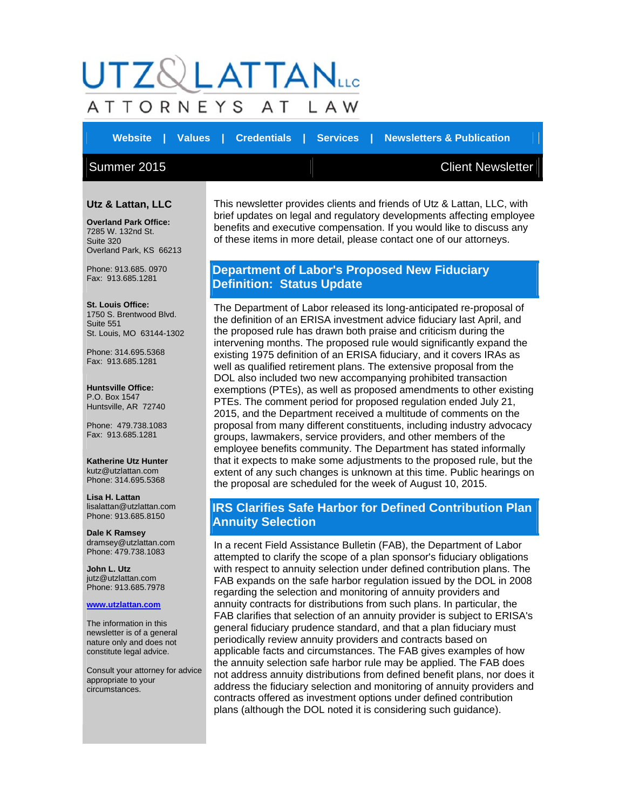# LATTAN<sub>LLC</sub> ATTORNEYS ΑT A W

**Website | Values | Credentials | Services | Newsletters & Publication** 

## Summer 2015 Client Newsletter

#### **Utz & Lattan, LLC**

**Overland Park Office:** 7285 W. 132nd St. Suite 320 Overland Park, KS 66213

Phone: 913.685. 0970 Fax: 913.685.1281

**St. Louis Office:** 1750 S. Brentwood Blvd. Suite 551 St. Louis, MO 63144-1302

Phone: 314.695.5368 Fax: 913.685.1281

**Huntsville Office:** P.O. Box 1547 Huntsville, AR 72740

Phone: 479.738.1083 Fax: 913.685.1281

**Katherine Utz Hunter** kutz@utzlattan.com Phone: 314.695.5368

**Lisa H. Lattan** lisalattan@utzlattan.com Phone: 913.685.8150

**Dale K Ramsey** dramsey@utzlattan.com Phone: 479.738.1083

**John L. Utz** jutz@utzlattan.com Phone: 913.685.7978

#### **www.utzlattan.com**

The information in this newsletter is of a general nature only and does not constitute legal advice.

Consult your attorney for advice appropriate to your circumstances.

This newsletter provides clients and friends of Utz & Lattan, LLC, with brief updates on legal and regulatory developments affecting employee benefits and executive compensation. If you would like to discuss any of these items in more detail, please contact one of our attorneys.

## **Department of Labor's Proposed New Fiduciary Definition: Status Update**

The Department of Labor released its long-anticipated re-proposal of the definition of an ERISA investment advice fiduciary last April, and the proposed rule has drawn both praise and criticism during the intervening months. The proposed rule would significantly expand the existing 1975 definition of an ERISA fiduciary, and it covers IRAs as well as qualified retirement plans. The extensive proposal from the DOL also included two new accompanying prohibited transaction exemptions (PTEs), as well as proposed amendments to other existing PTEs. The comment period for proposed regulation ended July 21, 2015, and the Department received a multitude of comments on the proposal from many different constituents, including industry advocacy groups, lawmakers, service providers, and other members of the employee benefits community. The Department has stated informally that it expects to make some adjustments to the proposed rule, but the extent of any such changes is unknown at this time. Public hearings on the proposal are scheduled for the week of August 10, 2015.

## **IRS Clarifies Safe Harbor for Defined Contribution Plan Annuity Selection**

In a recent Field Assistance Bulletin (FAB), the Department of Labor attempted to clarify the scope of a plan sponsor's fiduciary obligations with respect to annuity selection under defined contribution plans. The FAB expands on the safe harbor regulation issued by the DOL in 2008 regarding the selection and monitoring of annuity providers and annuity contracts for distributions from such plans. In particular, the FAB clarifies that selection of an annuity provider is subject to ERISA's general fiduciary prudence standard, and that a plan fiduciary must periodically review annuity providers and contracts based on applicable facts and circumstances. The FAB gives examples of how the annuity selection safe harbor rule may be applied. The FAB does not address annuity distributions from defined benefit plans, nor does it address the fiduciary selection and monitoring of annuity providers and contracts offered as investment options under defined contribution plans (although the DOL noted it is considering such guidance).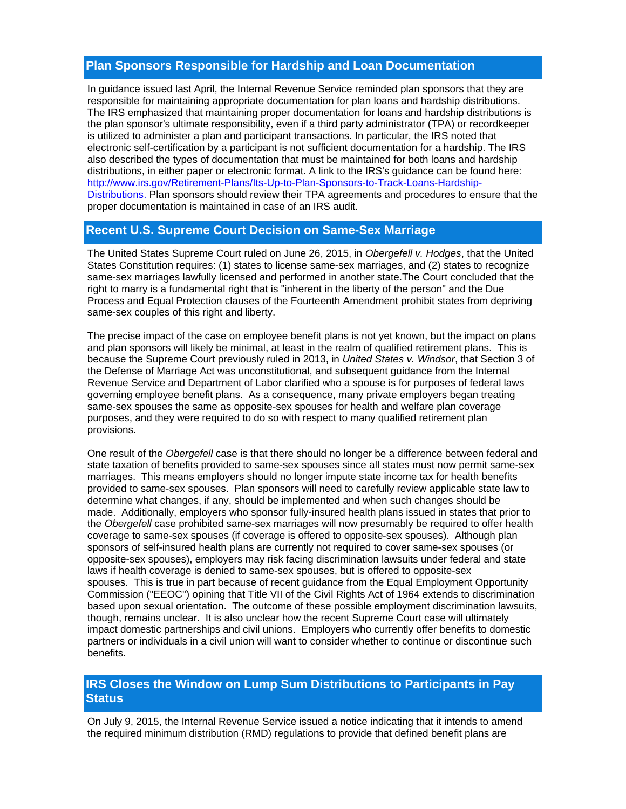### **Plan Sponsors Responsible for Hardship and Loan Documentation**

In guidance issued last April, the Internal Revenue Service reminded plan sponsors that they are responsible for maintaining appropriate documentation for plan loans and hardship distributions. The IRS emphasized that maintaining proper documentation for loans and hardship distributions is the plan sponsor's ultimate responsibility, even if a third party administrator (TPA) or recordkeeper is utilized to administer a plan and participant transactions. In particular, the IRS noted that electronic self-certification by a participant is not sufficient documentation for a hardship. The IRS also described the types of documentation that must be maintained for both loans and hardship distributions, in either paper or electronic format. A link to the IRS's guidance can be found here: http://www.irs.gov/Retirement-Plans/Its-Up-to-Plan-Sponsors-to-Track-Loans-Hardship-Distributions. Plan sponsors should review their TPA agreements and procedures to ensure that the proper documentation is maintained in case of an IRS audit.

## **Recent U.S. Supreme Court Decision on Same-Sex Marriage**

The United States Supreme Court ruled on June 26, 2015, in *Obergefell v. Hodges*, that the United States Constitution requires: (1) states to license same-sex marriages, and (2) states to recognize same-sex marriages lawfully licensed and performed in another state.The Court concluded that the right to marry is a fundamental right that is "inherent in the liberty of the person" and the Due Process and Equal Protection clauses of the Fourteenth Amendment prohibit states from depriving same-sex couples of this right and liberty.

The precise impact of the case on employee benefit plans is not yet known, but the impact on plans and plan sponsors will likely be minimal, at least in the realm of qualified retirement plans. This is because the Supreme Court previously ruled in 2013, in *United States v. Windsor*, that Section 3 of the Defense of Marriage Act was unconstitutional, and subsequent guidance from the Internal Revenue Service and Department of Labor clarified who a spouse is for purposes of federal laws governing employee benefit plans. As a consequence, many private employers began treating same-sex spouses the same as opposite-sex spouses for health and welfare plan coverage purposes, and they were required to do so with respect to many qualified retirement plan provisions.

One result of the *Obergefell* case is that there should no longer be a difference between federal and state taxation of benefits provided to same-sex spouses since all states must now permit same-sex marriages. This means employers should no longer impute state income tax for health benefits provided to same-sex spouses. Plan sponsors will need to carefully review applicable state law to determine what changes, if any, should be implemented and when such changes should be made. Additionally, employers who sponsor fully-insured health plans issued in states that prior to the *Obergefell* case prohibited same-sex marriages will now presumably be required to offer health coverage to same-sex spouses (if coverage is offered to opposite-sex spouses). Although plan sponsors of self-insured health plans are currently not required to cover same-sex spouses (or opposite-sex spouses), employers may risk facing discrimination lawsuits under federal and state laws if health coverage is denied to same-sex spouses, but is offered to opposite-sex spouses. This is true in part because of recent guidance from the Equal Employment Opportunity Commission ("EEOC") opining that Title VII of the Civil Rights Act of 1964 extends to discrimination based upon sexual orientation. The outcome of these possible employment discrimination lawsuits, though, remains unclear. It is also unclear how the recent Supreme Court case will ultimately impact domestic partnerships and civil unions. Employers who currently offer benefits to domestic partners or individuals in a civil union will want to consider whether to continue or discontinue such benefits.

## **IRS Closes the Window on Lump Sum Distributions to Participants in Pay Status**

On July 9, 2015, the Internal Revenue Service issued a notice indicating that it intends to amend the required minimum distribution (RMD) regulations to provide that defined benefit plans are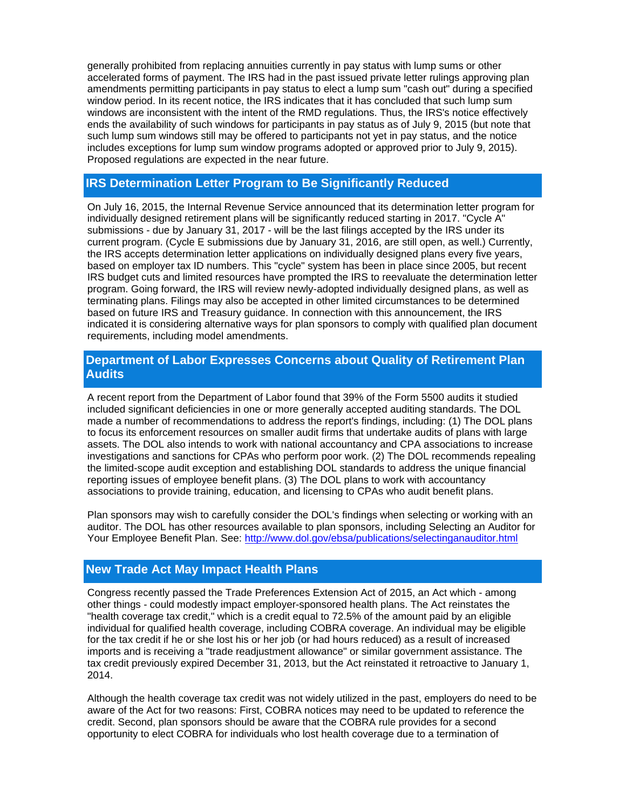generally prohibited from replacing annuities currently in pay status with lump sums or other accelerated forms of payment. The IRS had in the past issued private letter rulings approving plan amendments permitting participants in pay status to elect a lump sum "cash out" during a specified window period. In its recent notice, the IRS indicates that it has concluded that such lump sum windows are inconsistent with the intent of the RMD regulations. Thus, the IRS's notice effectively ends the availability of such windows for participants in pay status as of July 9, 2015 (but note that such lump sum windows still may be offered to participants not yet in pay status, and the notice includes exceptions for lump sum window programs adopted or approved prior to July 9, 2015). Proposed regulations are expected in the near future.

## **IRS Determination Letter Program to Be Significantly Reduced**

On July 16, 2015, the Internal Revenue Service announced that its determination letter program for individually designed retirement plans will be significantly reduced starting in 2017. "Cycle A" submissions - due by January 31, 2017 - will be the last filings accepted by the IRS under its current program. (Cycle E submissions due by January 31, 2016, are still open, as well.) Currently, the IRS accepts determination letter applications on individually designed plans every five years, based on employer tax ID numbers. This "cycle" system has been in place since 2005, but recent IRS budget cuts and limited resources have prompted the IRS to reevaluate the determination letter program. Going forward, the IRS will review newly-adopted individually designed plans, as well as terminating plans. Filings may also be accepted in other limited circumstances to be determined based on future IRS and Treasury guidance. In connection with this announcement, the IRS indicated it is considering alternative ways for plan sponsors to comply with qualified plan document requirements, including model amendments.

## **Department of Labor Expresses Concerns about Quality of Retirement Plan Audits**

A recent report from the Department of Labor found that 39% of the Form 5500 audits it studied included significant deficiencies in one or more generally accepted auditing standards. The DOL made a number of recommendations to address the report's findings, including: (1) The DOL plans to focus its enforcement resources on smaller audit firms that undertake audits of plans with large assets. The DOL also intends to work with national accountancy and CPA associations to increase investigations and sanctions for CPAs who perform poor work. (2) The DOL recommends repealing the limited-scope audit exception and establishing DOL standards to address the unique financial reporting issues of employee benefit plans. (3) The DOL plans to work with accountancy associations to provide training, education, and licensing to CPAs who audit benefit plans.

Plan sponsors may wish to carefully consider the DOL's findings when selecting or working with an auditor. The DOL has other resources available to plan sponsors, including Selecting an Auditor for Your Employee Benefit Plan. See: http://www.dol.gov/ebsa/publications/selectinganauditor.html

## **New Trade Act May Impact Health Plans**

Congress recently passed the Trade Preferences Extension Act of 2015, an Act which - among other things - could modestly impact employer-sponsored health plans. The Act reinstates the "health coverage tax credit," which is a credit equal to 72.5% of the amount paid by an eligible individual for qualified health coverage, including COBRA coverage. An individual may be eligible for the tax credit if he or she lost his or her job (or had hours reduced) as a result of increased imports and is receiving a "trade readjustment allowance" or similar government assistance. The tax credit previously expired December 31, 2013, but the Act reinstated it retroactive to January 1, 2014.

Although the health coverage tax credit was not widely utilized in the past, employers do need to be aware of the Act for two reasons: First, COBRA notices may need to be updated to reference the credit. Second, plan sponsors should be aware that the COBRA rule provides for a second opportunity to elect COBRA for individuals who lost health coverage due to a termination of